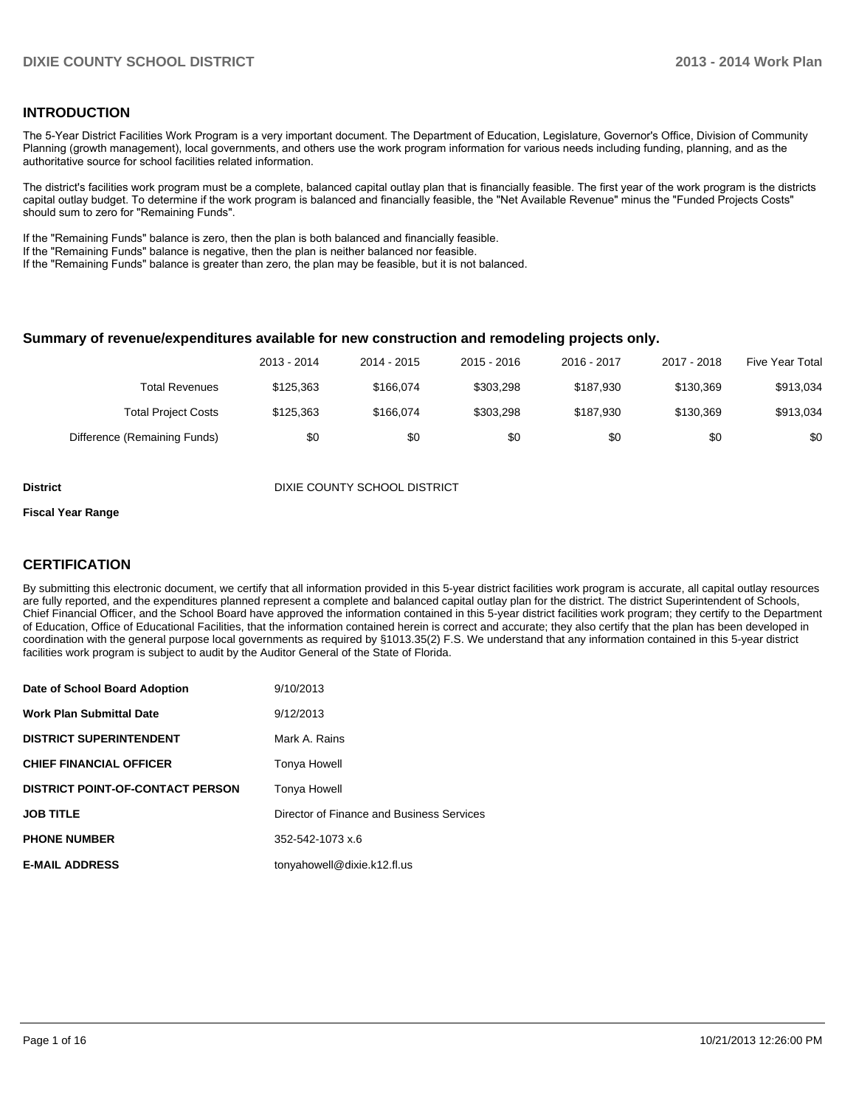### **INTRODUCTION**

The 5-Year District Facilities Work Program is a very important document. The Department of Education, Legislature, Governor's Office, Division of Community Planning (growth management), local governments, and others use the work program information for various needs including funding, planning, and as the authoritative source for school facilities related information.

The district's facilities work program must be a complete, balanced capital outlay plan that is financially feasible. The first year of the work program is the districts capital outlay budget. To determine if the work program is balanced and financially feasible, the "Net Available Revenue" minus the "Funded Projects Costs" should sum to zero for "Remaining Funds".

If the "Remaining Funds" balance is zero, then the plan is both balanced and financially feasible.

If the "Remaining Funds" balance is negative, then the plan is neither balanced nor feasible.

If the "Remaining Funds" balance is greater than zero, the plan may be feasible, but it is not balanced.

### **Summary of revenue/expenditures available for new construction and remodeling projects only.**

|                              | 2013 - 2014 | 2014 - 2015 | $2015 - 2016$ | 2016 - 2017 | 2017 - 2018 | <b>Five Year Total</b> |
|------------------------------|-------------|-------------|---------------|-------------|-------------|------------------------|
| Total Revenues               | \$125,363   | \$166.074   | \$303.298     | \$187.930   | \$130.369   | \$913,034              |
| <b>Total Project Costs</b>   | \$125.363   | \$166.074   | \$303.298     | \$187.930   | \$130.369   | \$913,034              |
| Difference (Remaining Funds) | \$0         | \$0         | \$0           | \$0         | \$0         | \$0                    |

**District District District District District District District District District District District District D** 

#### **Fiscal Year Range**

### **CERTIFICATION**

By submitting this electronic document, we certify that all information provided in this 5-year district facilities work program is accurate, all capital outlay resources are fully reported, and the expenditures planned represent a complete and balanced capital outlay plan for the district. The district Superintendent of Schools, Chief Financial Officer, and the School Board have approved the information contained in this 5-year district facilities work program; they certify to the Department of Education, Office of Educational Facilities, that the information contained herein is correct and accurate; they also certify that the plan has been developed in coordination with the general purpose local governments as required by §1013.35(2) F.S. We understand that any information contained in this 5-year district facilities work program is subject to audit by the Auditor General of the State of Florida.

| Date of School Board Adoption           | 9/10/2013                                 |
|-----------------------------------------|-------------------------------------------|
| <b>Work Plan Submittal Date</b>         | 9/12/2013                                 |
| <b>DISTRICT SUPERINTENDENT</b>          | Mark A. Rains                             |
| <b>CHIEF FINANCIAL OFFICER</b>          | Tonya Howell                              |
| <b>DISTRICT POINT-OF-CONTACT PERSON</b> | Tonya Howell                              |
| <b>JOB TITLE</b>                        | Director of Finance and Business Services |
| <b>PHONE NUMBER</b>                     | 352-542-1073 x.6                          |
| <b>E-MAIL ADDRESS</b>                   | tonyahowell@dixie.k12.fl.us               |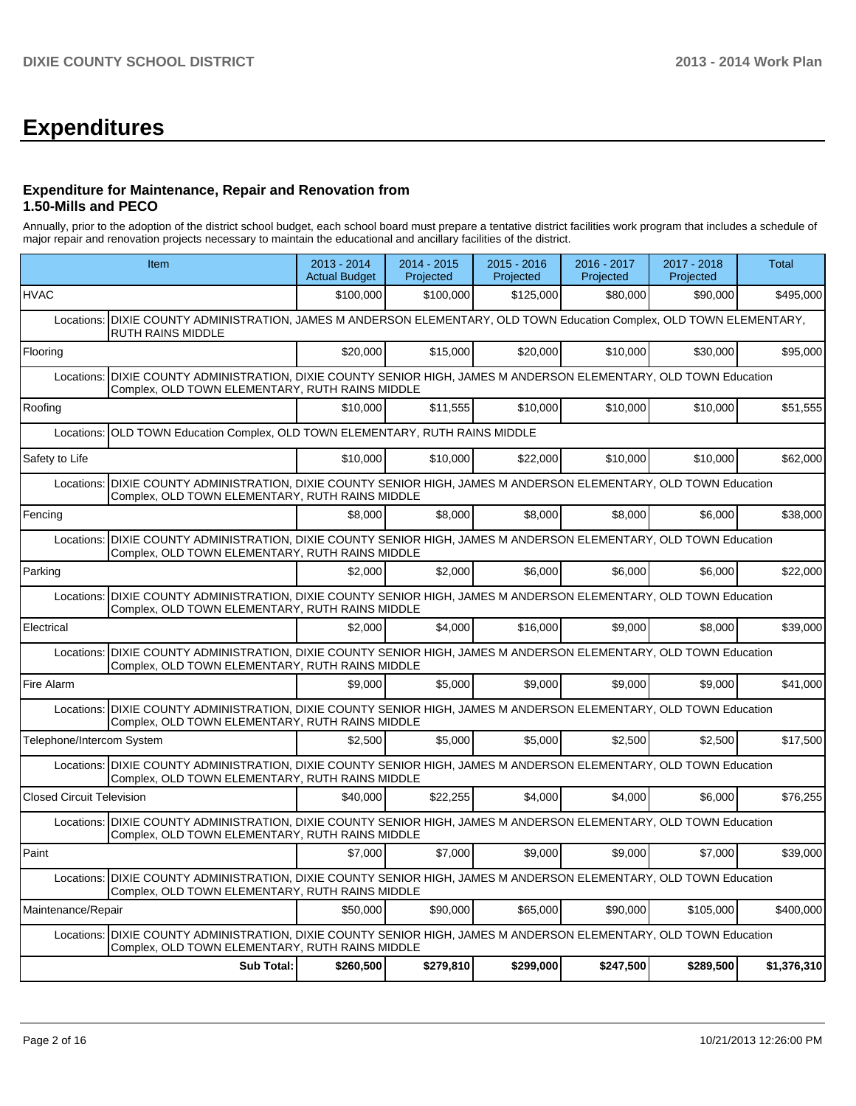# **Expenditures**

### **Expenditure for Maintenance, Repair and Renovation from 1.50-Mills and PECO**

Annually, prior to the adoption of the district school budget, each school board must prepare a tentative district facilities work program that includes a schedule of major repair and renovation projects necessary to maintain the educational and ancillary facilities of the district.

|                                                                                                                                                                         | Item                                                                                                                                                                 |           | $2014 - 2015$<br>Projected | $2015 - 2016$<br>Projected | 2016 - 2017<br>Projected | 2017 - 2018<br>Projected | Total       |  |  |  |
|-------------------------------------------------------------------------------------------------------------------------------------------------------------------------|----------------------------------------------------------------------------------------------------------------------------------------------------------------------|-----------|----------------------------|----------------------------|--------------------------|--------------------------|-------------|--|--|--|
| <b>HVAC</b>                                                                                                                                                             |                                                                                                                                                                      | \$100,000 | \$100,000                  | \$125,000                  | \$80,000                 | \$90,000                 | \$495,000   |  |  |  |
| Locations:                                                                                                                                                              | DIXIE COUNTY ADMINISTRATION, JAMES M ANDERSON ELEMENTARY, OLD TOWN Education Complex, OLD TOWN ELEMENTARY,<br><b>RUTH RAINS MIDDLE</b>                               |           |                            |                            |                          |                          |             |  |  |  |
| Flooring                                                                                                                                                                |                                                                                                                                                                      | \$20,000  | \$15,000                   | \$20,000                   | \$10,000                 | \$30,000                 | \$95,000    |  |  |  |
| Locations:                                                                                                                                                              | DIXIE COUNTY ADMINISTRATION, DIXIE COUNTY SENIOR HIGH, JAMES M ANDERSON ELEMENTARY, OLD TOWN Education<br>Complex, OLD TOWN ELEMENTARY, RUTH RAINS MIDDLE            |           |                            |                            |                          |                          |             |  |  |  |
| Roofing                                                                                                                                                                 |                                                                                                                                                                      | \$10,000  | \$11,555                   | \$10,000                   | \$10,000                 | \$10,000                 | \$51,555    |  |  |  |
| Locations:                                                                                                                                                              | OLD TOWN Education Complex, OLD TOWN ELEMENTARY, RUTH RAINS MIDDLE                                                                                                   |           |                            |                            |                          |                          |             |  |  |  |
| Safety to Life                                                                                                                                                          |                                                                                                                                                                      | \$10,000  | \$10,000                   | \$22,000                   | \$10,000                 | \$10,000                 | \$62,000    |  |  |  |
| Locations:                                                                                                                                                              | DIXIE COUNTY ADMINISTRATION, DIXIE COUNTY SENIOR HIGH, JAMES M ANDERSON ELEMENTARY, OLD TOWN Education<br>Complex, OLD TOWN ELEMENTARY, RUTH RAINS MIDDLE            |           |                            |                            |                          |                          |             |  |  |  |
| Fencing                                                                                                                                                                 |                                                                                                                                                                      | \$8.000   | \$8.000                    | \$8,000                    | \$8,000                  | \$6,000                  | \$38,000    |  |  |  |
| Locations:                                                                                                                                                              | DIXIE COUNTY ADMINISTRATION, DIXIE COUNTY SENIOR HIGH, JAMES M ANDERSON ELEMENTARY, OLD TOWN Education<br>Complex, OLD TOWN ELEMENTARY, RUTH RAINS MIDDLE            |           |                            |                            |                          |                          |             |  |  |  |
| Parking                                                                                                                                                                 |                                                                                                                                                                      | \$2,000   | \$2,000                    | \$6,000                    | \$6,000                  | \$6,000                  | \$22,000    |  |  |  |
| DIXIE COUNTY ADMINISTRATION, DIXIE COUNTY SENIOR HIGH, JAMES M ANDERSON ELEMENTARY, OLD TOWN Education<br>Locations:<br>Complex, OLD TOWN ELEMENTARY, RUTH RAINS MIDDLE |                                                                                                                                                                      |           |                            |                            |                          |                          |             |  |  |  |
| Electrical                                                                                                                                                              |                                                                                                                                                                      | \$2,000   | \$4,000                    | \$16,000                   | \$9,000                  | \$8,000                  | \$39,000    |  |  |  |
| Locations:                                                                                                                                                              | DIXIE COUNTY ADMINISTRATION, DIXIE COUNTY SENIOR HIGH, JAMES M ANDERSON ELEMENTARY, OLD TOWN Education<br>Complex, OLD TOWN ELEMENTARY, RUTH RAINS MIDDLE            |           |                            |                            |                          |                          |             |  |  |  |
| Fire Alarm                                                                                                                                                              |                                                                                                                                                                      | \$9,000   | \$5,000                    | \$9,000                    | \$9,000                  | \$9.000                  | \$41,000    |  |  |  |
| Locations:                                                                                                                                                              | DIXIE COUNTY ADMINISTRATION, DIXIE COUNTY SENIOR HIGH, JAMES M ANDERSON ELEMENTARY, OLD TOWN Education<br>Complex, OLD TOWN ELEMENTARY, RUTH RAINS MIDDLE            |           |                            |                            |                          |                          |             |  |  |  |
| Telephone/Intercom System                                                                                                                                               |                                                                                                                                                                      | \$2,500   | \$5,000                    | \$5,000                    | \$2,500                  | \$2,500                  | \$17,500    |  |  |  |
|                                                                                                                                                                         | Locations: DIXIE COUNTY ADMINISTRATION, DIXIE COUNTY SENIOR HIGH, JAMES M ANDERSON ELEMENTARY, OLD TOWN Education<br>Complex, OLD TOWN ELEMENTARY, RUTH RAINS MIDDLE |           |                            |                            |                          |                          |             |  |  |  |
| <b>Closed Circuit Television</b>                                                                                                                                        |                                                                                                                                                                      | \$40,000  | \$22,255                   | \$4,000                    | \$4,000                  | \$6,000                  | \$76,255    |  |  |  |
| Locations:                                                                                                                                                              | DIXIE COUNTY ADMINISTRATION, DIXIE COUNTY SENIOR HIGH, JAMES M ANDERSON ELEMENTARY, OLD TOWN Education<br>Complex, OLD TOWN ELEMENTARY, RUTH RAINS MIDDLE            |           |                            |                            |                          |                          |             |  |  |  |
| Paint                                                                                                                                                                   |                                                                                                                                                                      | \$7,000   | \$7,000                    | \$9,000                    | \$9,000                  | \$7,000                  | \$39,000    |  |  |  |
|                                                                                                                                                                         | Locations: DIXIE COUNTY ADMINISTRATION, DIXIE COUNTY SENIOR HIGH, JAMES M ANDERSON ELEMENTARY, OLD TOWN Education<br>Complex, OLD TOWN ELEMENTARY, RUTH RAINS MIDDLE |           |                            |                            |                          |                          |             |  |  |  |
| Maintenance/Repair                                                                                                                                                      |                                                                                                                                                                      | \$50,000  | \$90,000                   | \$65,000                   | \$90,000                 | \$105,000                | \$400,000   |  |  |  |
| Locations:                                                                                                                                                              | DIXIE COUNTY ADMINISTRATION, DIXIE COUNTY SENIOR HIGH, JAMES M ANDERSON ELEMENTARY, OLD TOWN Education<br>Complex, OLD TOWN ELEMENTARY, RUTH RAINS MIDDLE            |           |                            |                            |                          |                          |             |  |  |  |
|                                                                                                                                                                         | <b>Sub Total:</b>                                                                                                                                                    | \$260,500 | \$279,810                  | \$299,000                  | \$247,500                | \$289,500                | \$1,376,310 |  |  |  |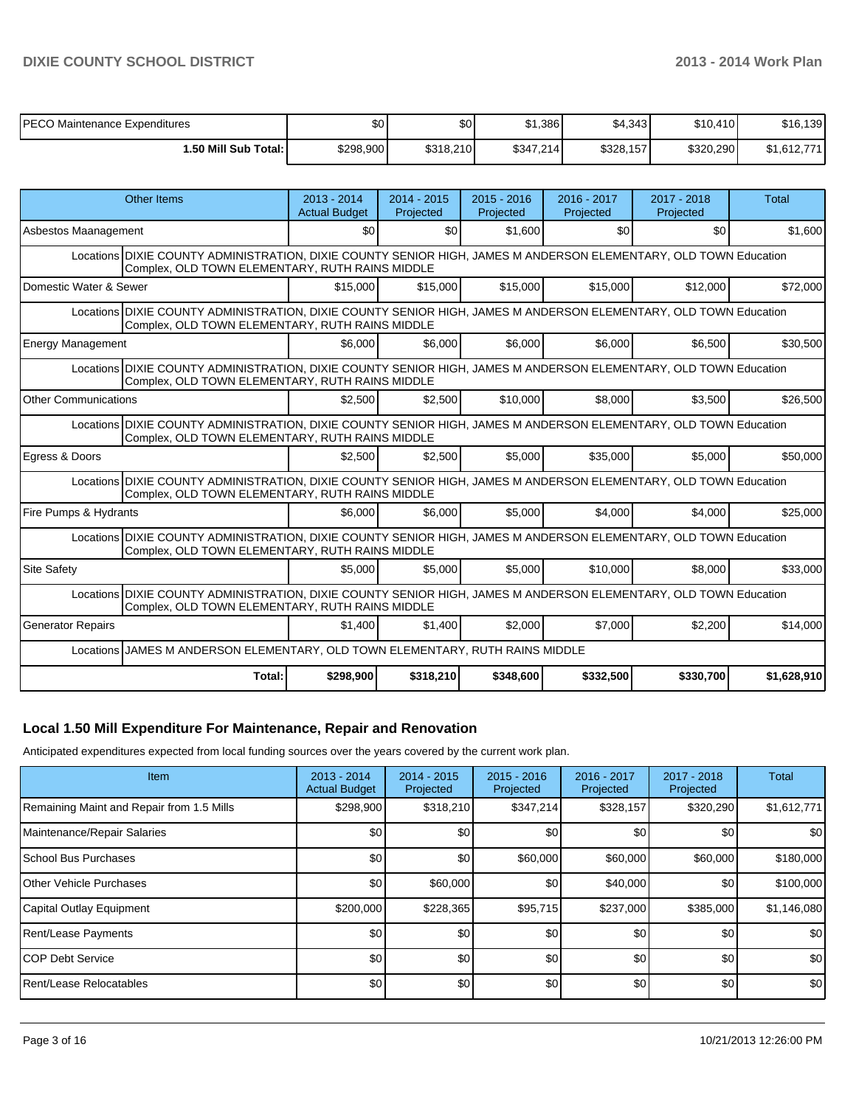| PECO Maintenance Expenditures | \$0       | \$0       | \$1,386   | \$4,343   | \$10,410  | \$16,139    |
|-------------------------------|-----------|-----------|-----------|-----------|-----------|-------------|
| l.50 Mill Sub Total: I        | \$298,900 | \$318,210 | \$347,214 | \$328,157 | \$320,290 | \$1,612,771 |

| Other Items                                                                                                                                                         | $2013 - 2014$<br><b>Actual Budget</b>                                                                                                                               | $2014 - 2015$<br>Projected | $2015 - 2016$<br>Projected | $2016 - 2017$<br>Projected | $2017 - 2018$<br>Projected | Total       |  |  |  |  |
|---------------------------------------------------------------------------------------------------------------------------------------------------------------------|---------------------------------------------------------------------------------------------------------------------------------------------------------------------|----------------------------|----------------------------|----------------------------|----------------------------|-------------|--|--|--|--|
| Asbestos Maanagement                                                                                                                                                | \$0                                                                                                                                                                 | \$0                        | \$1,600                    | \$0                        | \$0                        | \$1,600     |  |  |  |  |
| Locations DIXIE COUNTY ADMINISTRATION, DIXIE COUNTY SENIOR HIGH, JAMES M ANDERSON ELEMENTARY, OLD TOWN Education<br>Complex, OLD TOWN ELEMENTARY, RUTH RAINS MIDDLE |                                                                                                                                                                     |                            |                            |                            |                            |             |  |  |  |  |
| Domestic Water & Sewer                                                                                                                                              | \$15,000                                                                                                                                                            | \$15,000                   | \$15,000                   | \$15,000                   | \$12,000                   | \$72,000    |  |  |  |  |
| Locations DIXIE COUNTY ADMINISTRATION, DIXIE COUNTY SENIOR HIGH, JAMES M ANDERSON ELEMENTARY, OLD TOWN Education<br>Complex, OLD TOWN ELEMENTARY, RUTH RAINS MIDDLE |                                                                                                                                                                     |                            |                            |                            |                            |             |  |  |  |  |
| <b>Energy Management</b>                                                                                                                                            | \$6,000                                                                                                                                                             | \$6,000                    | \$6,000                    | \$6,000                    | \$6,500                    | \$30,500    |  |  |  |  |
| Locations DIXIE COUNTY ADMINISTRATION, DIXIE COUNTY SENIOR HIGH, JAMES M ANDERSON ELEMENTARY, OLD TOWN Education<br>Complex, OLD TOWN ELEMENTARY, RUTH RAINS MIDDLE |                                                                                                                                                                     |                            |                            |                            |                            |             |  |  |  |  |
| <b>Other Communications</b>                                                                                                                                         | \$2.500                                                                                                                                                             | \$2.500                    | \$10,000                   | \$8,000                    | \$3.500                    | \$26,500    |  |  |  |  |
|                                                                                                                                                                     | Locations DIXIE COUNTY ADMINISTRATION, DIXIE COUNTY SENIOR HIGH, JAMES M ANDERSON ELEMENTARY, OLD TOWN Education<br>Complex, OLD TOWN ELEMENTARY, RUTH RAINS MIDDLE |                            |                            |                            |                            |             |  |  |  |  |
| Egress & Doors                                                                                                                                                      | \$2.500                                                                                                                                                             | \$2.500                    | \$5,000                    | \$35,000                   | \$5,000                    | \$50,000    |  |  |  |  |
| Locations DIXIE COUNTY ADMINISTRATION, DIXIE COUNTY SENIOR HIGH, JAMES M ANDERSON ELEMENTARY, OLD TOWN Education<br>Complex, OLD TOWN ELEMENTARY, RUTH RAINS MIDDLE |                                                                                                                                                                     |                            |                            |                            |                            |             |  |  |  |  |
| Fire Pumps & Hydrants                                                                                                                                               | \$6,000                                                                                                                                                             | \$6,000                    | \$5,000                    | \$4,000                    | \$4.000                    | \$25,000    |  |  |  |  |
| Locations DIXIE COUNTY ADMINISTRATION, DIXIE COUNTY SENIOR HIGH, JAMES M ANDERSON ELEMENTARY, OLD TOWN Education<br>Complex, OLD TOWN ELEMENTARY, RUTH RAINS MIDDLE |                                                                                                                                                                     |                            |                            |                            |                            |             |  |  |  |  |
| <b>Site Safety</b>                                                                                                                                                  | \$5.000                                                                                                                                                             | \$5,000                    | \$5.000                    | \$10,000                   | \$8,000                    | \$33,000    |  |  |  |  |
| Locations DIXIE COUNTY ADMINISTRATION, DIXIE COUNTY SENIOR HIGH, JAMES M ANDERSON ELEMENTARY, OLD TOWN Education<br>Complex, OLD TOWN ELEMENTARY, RUTH RAINS MIDDLE |                                                                                                                                                                     |                            |                            |                            |                            |             |  |  |  |  |
| <b>Generator Repairs</b>                                                                                                                                            | \$1.400                                                                                                                                                             | \$1,400                    | \$2,000                    | \$7,000                    | \$2,200                    | \$14,000    |  |  |  |  |
| Locations JJAMES M ANDERSON ELEMENTARY, OLD TOWN ELEMENTARY, RUTH RAINS MIDDLE                                                                                      |                                                                                                                                                                     |                            |                            |                            |                            |             |  |  |  |  |
|                                                                                                                                                                     | Total:<br>\$298,900                                                                                                                                                 | \$318,210                  | \$348,600                  | \$332.500                  | \$330.700                  | \$1,628,910 |  |  |  |  |

### **Local 1.50 Mill Expenditure For Maintenance, Repair and Renovation**

Anticipated expenditures expected from local funding sources over the years covered by the current work plan.

| Item                                      | $2013 - 2014$<br><b>Actual Budget</b> | $2014 - 2015$<br>Projected | $2015 - 2016$<br>Projected | 2016 - 2017<br>Projected | 2017 - 2018<br>Projected | Total       |
|-------------------------------------------|---------------------------------------|----------------------------|----------------------------|--------------------------|--------------------------|-------------|
| Remaining Maint and Repair from 1.5 Mills | \$298,900                             | \$318,210                  | \$347,214                  | \$328,157                | \$320,290                | \$1,612,771 |
| Maintenance/Repair Salaries               | \$0                                   | \$0                        | \$0                        | \$0                      | <b>\$01</b>              | \$0         |
| <b>School Bus Purchases</b>               | \$0                                   | \$0                        | \$60,000                   | \$60,000                 | \$60,000                 | \$180,000   |
| <b>Other Vehicle Purchases</b>            | \$0                                   | \$60,000                   | \$0                        | \$40,000                 | \$0                      | \$100,000   |
| Capital Outlay Equipment                  | \$200,000                             | \$228,365                  | \$95,715                   | \$237,000                | \$385,000                | \$1,146,080 |
| Rent/Lease Payments                       | \$0                                   | \$0                        | \$0                        | \$0                      | \$0                      | \$0         |
| <b>ICOP Debt Service</b>                  | \$0                                   | \$0                        | \$0                        | \$0                      | \$0                      | \$0         |
| Rent/Lease Relocatables                   | \$0                                   | \$0                        | \$0                        | \$0                      | \$0 <sub>1</sub>         | \$0         |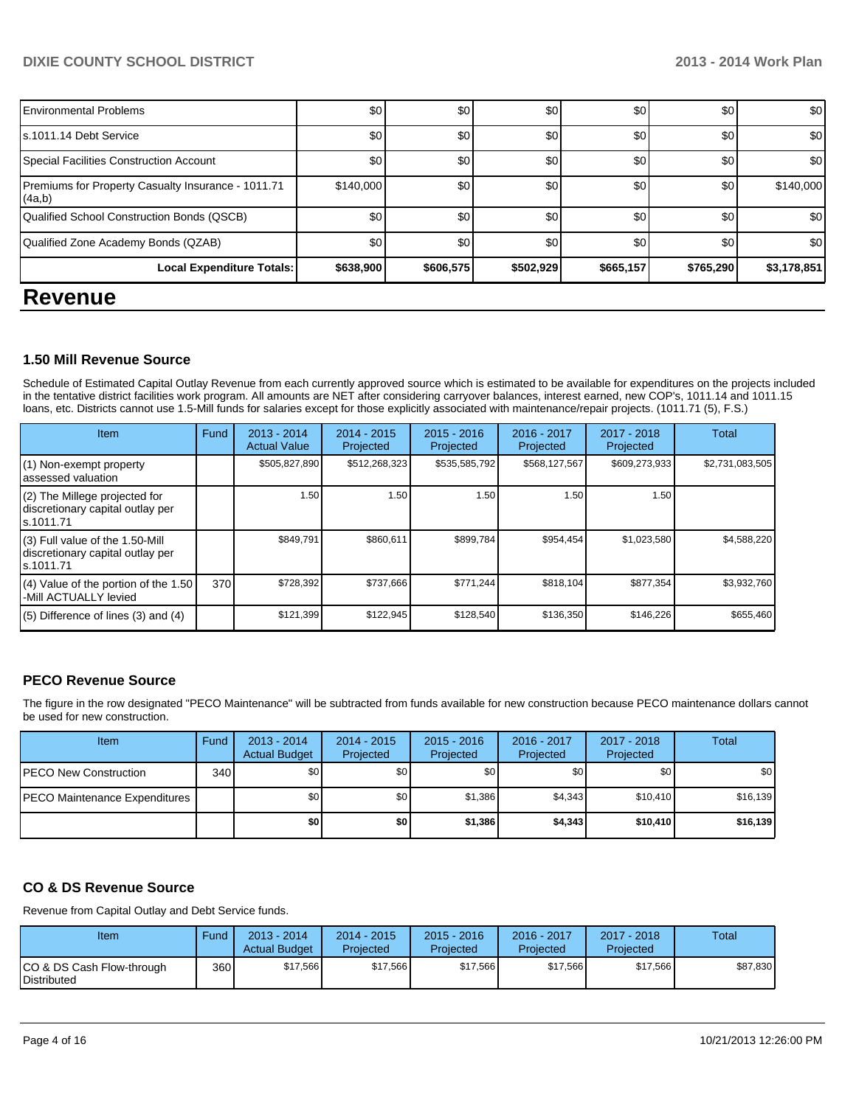### **DIXIE COUNTY SCHOOL DISTRICT 2013 - 2014 Work Plan**

| $\overline{\phantom{a}}$                                     |           |           |           |           |           |             |
|--------------------------------------------------------------|-----------|-----------|-----------|-----------|-----------|-------------|
| Local Expenditure Totals:                                    | \$638,900 | \$606,575 | \$502,929 | \$665,157 | \$765,290 | \$3,178,851 |
| Qualified Zone Academy Bonds (QZAB)                          | \$0       | \$0       | \$0       | \$0       | \$0       | \$0         |
| Qualified School Construction Bonds (QSCB)                   | \$0       | \$0       | \$0       | \$0       | \$0       | \$0         |
| Premiums for Property Casualty Insurance - 1011.71<br>(4a,b) | \$140,000 | \$0       | \$0       | \$0       | \$0       | \$140,000   |
| Special Facilities Construction Account                      | \$0       | \$0       | \$0       | \$0       | \$0       | \$0         |
| s.1011.14 Debt Service                                       | \$0       | \$0       | \$0       | \$0       | \$0       | \$0         |
| <b>Environmental Problems</b>                                | \$0       | \$0       | \$0       | \$0       | \$0       | \$0         |
|                                                              |           |           |           |           |           |             |

### **Revenue**

### **1.50 Mill Revenue Source**

Schedule of Estimated Capital Outlay Revenue from each currently approved source which is estimated to be available for expenditures on the projects included in the tentative district facilities work program. All amounts are NET after considering carryover balances, interest earned, new COP's, 1011.14 and 1011.15 loans, etc. Districts cannot use 1.5-Mill funds for salaries except for those explicitly associated with maintenance/repair projects. (1011.71 (5), F.S.)

| Item                                                                              | Fund | $2013 - 2014$<br><b>Actual Value</b> | $2014 - 2015$<br>Projected | $2015 - 2016$<br>Projected | $2016 - 2017$<br>Projected | $2017 - 2018$<br>Projected | Total           |
|-----------------------------------------------------------------------------------|------|--------------------------------------|----------------------------|----------------------------|----------------------------|----------------------------|-----------------|
| (1) Non-exempt property<br>assessed valuation                                     |      | \$505,827,890                        | \$512,268,323              | \$535,585,792              | \$568,127,567              | \$609,273,933              | \$2,731,083,505 |
| (2) The Millege projected for<br>discretionary capital outlay per<br>ls.1011.71   |      | 1.50                                 | 1.50                       | 1.50                       | 1.50                       | 1.50                       |                 |
| (3) Full value of the 1.50-Mill<br>discretionary capital outlay per<br>ls.1011.71 |      | \$849,791                            | \$860,611                  | \$899,784                  | \$954,454                  | \$1,023,580                | \$4,588,220     |
| (4) Value of the portion of the 1.50<br>-Mill ACTUALLY levied                     | 370  | \$728,392                            | \$737,666                  | \$771,244                  | \$818,104                  | \$877,354                  | \$3,932,760     |
| $(5)$ Difference of lines $(3)$ and $(4)$                                         |      | \$121,399                            | \$122,945                  | \$128,540                  | \$136,350                  | \$146,226                  | \$655,460       |

### **PECO Revenue Source**

The figure in the row designated "PECO Maintenance" will be subtracted from funds available for new construction because PECO maintenance dollars cannot be used for new construction.

| Item                                 | Fund | $2013 - 2014$<br><b>Actual Budget</b> | $2014 - 2015$<br>Projected | $2015 - 2016$<br>Projected | 2016 - 2017<br>Projected | 2017 - 2018<br>Projected | Total    |
|--------------------------------------|------|---------------------------------------|----------------------------|----------------------------|--------------------------|--------------------------|----------|
| <b>PECO New Construction</b>         | 340  | \$0                                   | \$0 <sub>1</sub>           | \$0 <sub>1</sub>           | \$OI                     | \$0 I                    | \$0      |
| <b>PECO Maintenance Expenditures</b> |      | \$0                                   | \$0 <sub>1</sub>           | \$1,386                    | \$4,343                  | \$10.410                 | \$16,139 |
|                                      |      | \$0                                   | \$0                        | \$1,386                    | \$4,343                  | \$10,410                 | \$16,139 |

### **CO & DS Revenue Source**

Revenue from Capital Outlay and Debt Service funds.

| Item                                     | Fund  | $2013 - 2014$<br><b>Actual Budget</b> | $2014 - 2015$<br>Projected | 2015 - 2016<br>Projected | 2016 - 2017<br>Projected | $2017 - 2018$<br>Projected | Total    |
|------------------------------------------|-------|---------------------------------------|----------------------------|--------------------------|--------------------------|----------------------------|----------|
| CO & DS Cash Flow-through<br>Distributed | 360 l | \$17,566                              | \$17,566                   | \$17,566                 | \$17.566                 | \$17,566                   | \$87,830 |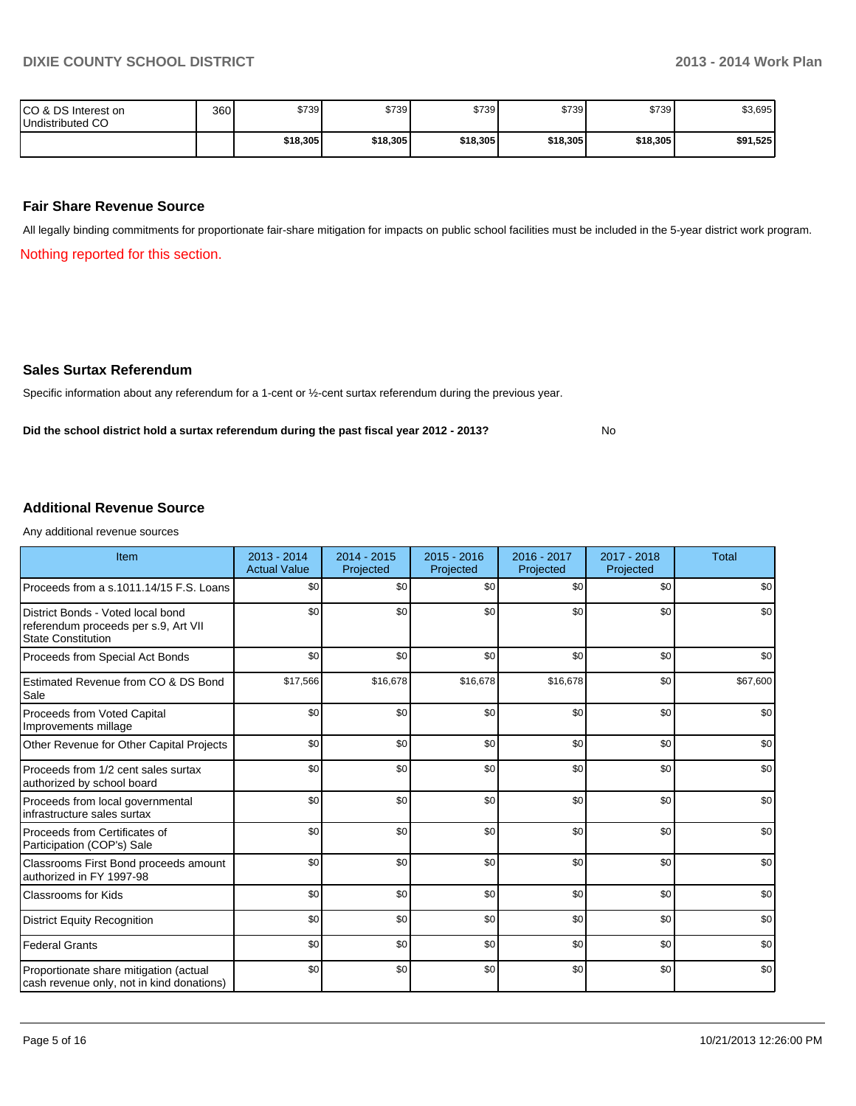No

| ICO & DS Interest on<br>Undistributed CO | 360 | \$739    | \$739    | \$739    | \$739    | \$739    | \$3,695  |
|------------------------------------------|-----|----------|----------|----------|----------|----------|----------|
|                                          |     | \$18,305 | \$18,305 | \$18,305 | \$18,305 | \$18,305 | \$91,525 |

### **Fair Share Revenue Source**

All legally binding commitments for proportionate fair-share mitigation for impacts on public school facilities must be included in the 5-year district work program.

Nothing reported for this section.

#### **Sales Surtax Referendum**

Specific information about any referendum for a 1-cent or ½-cent surtax referendum during the previous year.

**Did the school district hold a surtax referendum during the past fiscal year 2012 - 2013?**

### **Additional Revenue Source**

Any additional revenue sources

| Item                                                                                                   | 2013 - 2014<br><b>Actual Value</b> | $2014 - 2015$<br>Projected | $2015 - 2016$<br>Projected | 2016 - 2017<br>Projected | 2017 - 2018<br>Projected | <b>Total</b> |
|--------------------------------------------------------------------------------------------------------|------------------------------------|----------------------------|----------------------------|--------------------------|--------------------------|--------------|
| Proceeds from a s.1011.14/15 F.S. Loans                                                                | \$0                                | \$0                        | \$0                        | \$0                      | \$0                      | \$0          |
| District Bonds - Voted local bond<br>referendum proceeds per s.9, Art VII<br><b>State Constitution</b> | \$0                                | \$0                        | \$0                        | \$0                      | \$0                      | \$0          |
| Proceeds from Special Act Bonds                                                                        | \$0                                | \$0                        | \$0                        | \$0                      | \$0                      | \$0          |
| Estimated Revenue from CO & DS Bond<br>Sale                                                            | \$17,566                           | \$16,678                   | \$16,678                   | \$16,678                 | \$0                      | \$67,600     |
| Proceeds from Voted Capital<br>Improvements millage                                                    | \$0                                | \$0                        | \$0                        | \$0                      | \$0                      | \$0          |
| Other Revenue for Other Capital Projects                                                               | \$0                                | \$0                        | \$0                        | \$0                      | \$0                      | \$0          |
| Proceeds from 1/2 cent sales surtax<br>authorized by school board                                      | \$0                                | \$0                        | \$0                        | \$0                      | \$0                      | \$0          |
| Proceeds from local governmental<br>infrastructure sales surtax                                        | \$0                                | \$0                        | \$0                        | \$0                      | \$0                      | \$0          |
| Proceeds from Certificates of<br>Participation (COP's) Sale                                            | \$0                                | \$0                        | \$0                        | \$0                      | \$0                      | \$0          |
| Classrooms First Bond proceeds amount<br>authorized in FY 1997-98                                      | \$0                                | \$0                        | \$0                        | \$0                      | \$0                      | \$0          |
| Classrooms for Kids                                                                                    | \$0                                | \$0                        | \$0                        | \$0                      | \$0                      | \$0          |
| <b>District Equity Recognition</b>                                                                     | \$0                                | \$0                        | \$0                        | \$0                      | \$0                      | \$0          |
| <b>Federal Grants</b>                                                                                  | \$0                                | \$0                        | \$0                        | \$0                      | \$0                      | \$0          |
| Proportionate share mitigation (actual<br>cash revenue only, not in kind donations)                    | \$0                                | \$0                        | \$0                        | \$0                      | \$0                      | \$0          |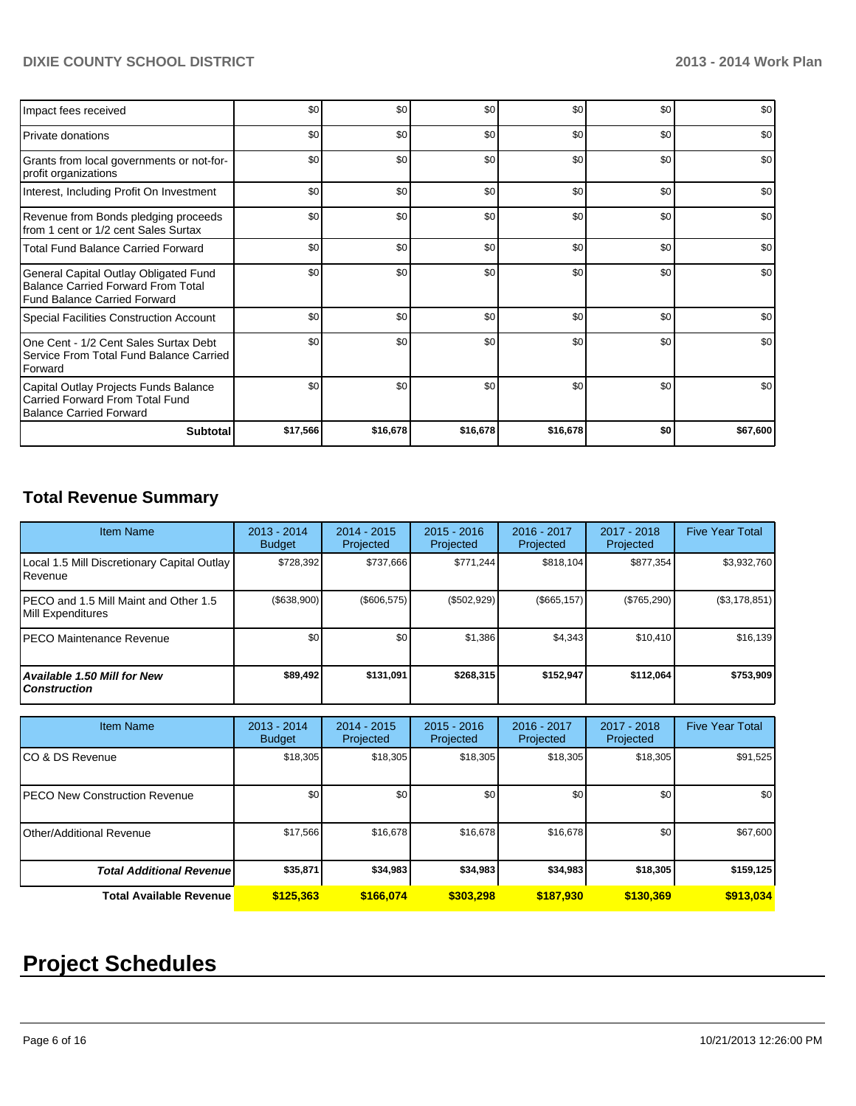### **DIXIE COUNTY SCHOOL DISTRICT 2013 - 2014 Work Plan**

| Impact fees received                                                                                                      | \$0      | \$0      | \$0      | \$0      | \$0 | \$0      |
|---------------------------------------------------------------------------------------------------------------------------|----------|----------|----------|----------|-----|----------|
| <b>Private donations</b>                                                                                                  | \$0      | \$0      | \$0      | \$0      | \$0 | \$0      |
| Grants from local governments or not-for-<br>profit organizations                                                         | \$0      | \$0      | \$0      | \$0      | \$0 | \$0      |
| Interest, Including Profit On Investment                                                                                  | \$0      | \$0      | \$0      | \$0      | \$0 | \$0      |
| Revenue from Bonds pledging proceeds<br>from 1 cent or 1/2 cent Sales Surtax                                              | \$0      | \$0      | \$0      | \$0      | \$0 | \$0      |
| <b>Total Fund Balance Carried Forward</b>                                                                                 | \$0      | \$0      | \$0      | \$0      | \$0 | \$0      |
| General Capital Outlay Obligated Fund<br><b>Balance Carried Forward From Total</b><br><b>Fund Balance Carried Forward</b> | \$0      | \$0      | \$0      | \$0      | \$0 | \$0      |
| Special Facilities Construction Account                                                                                   | \$0      | \$0      | \$0      | \$0      | \$0 | \$0      |
| One Cent - 1/2 Cent Sales Surtax Debt<br>Service From Total Fund Balance Carried<br>Forward                               | \$0      | \$0      | \$0      | \$0      | \$0 | \$0      |
| Capital Outlay Projects Funds Balance<br>Carried Forward From Total Fund<br><b>Balance Carried Forward</b>                | \$0      | \$0      | \$0      | \$0      | \$0 | \$0      |
| <b>Subtotal</b>                                                                                                           | \$17,566 | \$16,678 | \$16,678 | \$16,678 | \$0 | \$67,600 |

### **Total Revenue Summary**

| <b>Item Name</b>                                           | 2013 - 2014<br><b>Budget</b> | $2014 - 2015$<br>Projected | $2015 - 2016$<br>Projected | $2016 - 2017$<br>Projected | $2017 - 2018$<br>Projected | <b>Five Year Total</b> |
|------------------------------------------------------------|------------------------------|----------------------------|----------------------------|----------------------------|----------------------------|------------------------|
| Local 1.5 Mill Discretionary Capital Outlay<br>l Revenue   | \$728,392                    | \$737,666                  | \$771,244                  | \$818,104                  | \$877,354                  | \$3,932,760            |
| PECO and 1.5 Mill Maint and Other 1.5<br>Mill Expenditures | (\$638,900)                  | $($ \$606,575) $ $         | (\$502,929)                | (S665, 157)                | (\$765,290)                | (\$3,178,851)          |
| IPECO Maintenance Revenue                                  | \$0                          | \$0                        | \$1,386                    | \$4,343                    | \$10.410                   | \$16,139               |
| <b>Available 1.50 Mill for New</b><br><b>Construction</b>  | \$89,492                     | \$131,091                  | \$268.315                  | \$152,947                  | \$112,064                  | \$753,909              |

| <b>Item Name</b>                      | 2013 - 2014<br><b>Budget</b> | $2014 - 2015$<br>Projected | $2015 - 2016$<br>Projected | $2016 - 2017$<br>Projected | 2017 - 2018<br>Projected | <b>Five Year Total</b> |
|---------------------------------------|------------------------------|----------------------------|----------------------------|----------------------------|--------------------------|------------------------|
| ICO & DS Revenue                      | \$18,305                     | \$18,305                   | \$18,305                   | \$18,305                   | \$18,305                 | \$91,525               |
| <b>IPECO New Construction Revenue</b> | \$0 <sub>1</sub>             | \$0                        | \$0                        | \$0                        | \$0                      | \$0 <sub>1</sub>       |
| Other/Additional Revenue              | \$17,566                     | \$16,678                   | \$16,678                   | \$16,678                   | \$0                      | \$67,600               |
| <b>Total Additional Revenuel</b>      | \$35,871                     | \$34,983                   | \$34,983                   | \$34,983                   | \$18,305                 | \$159,125              |
| <b>Total Available Revenue</b>        | \$125,363                    | \$166.074                  | \$303.298                  | \$187,930                  | \$130,369                | \$913,034              |

# **Project Schedules**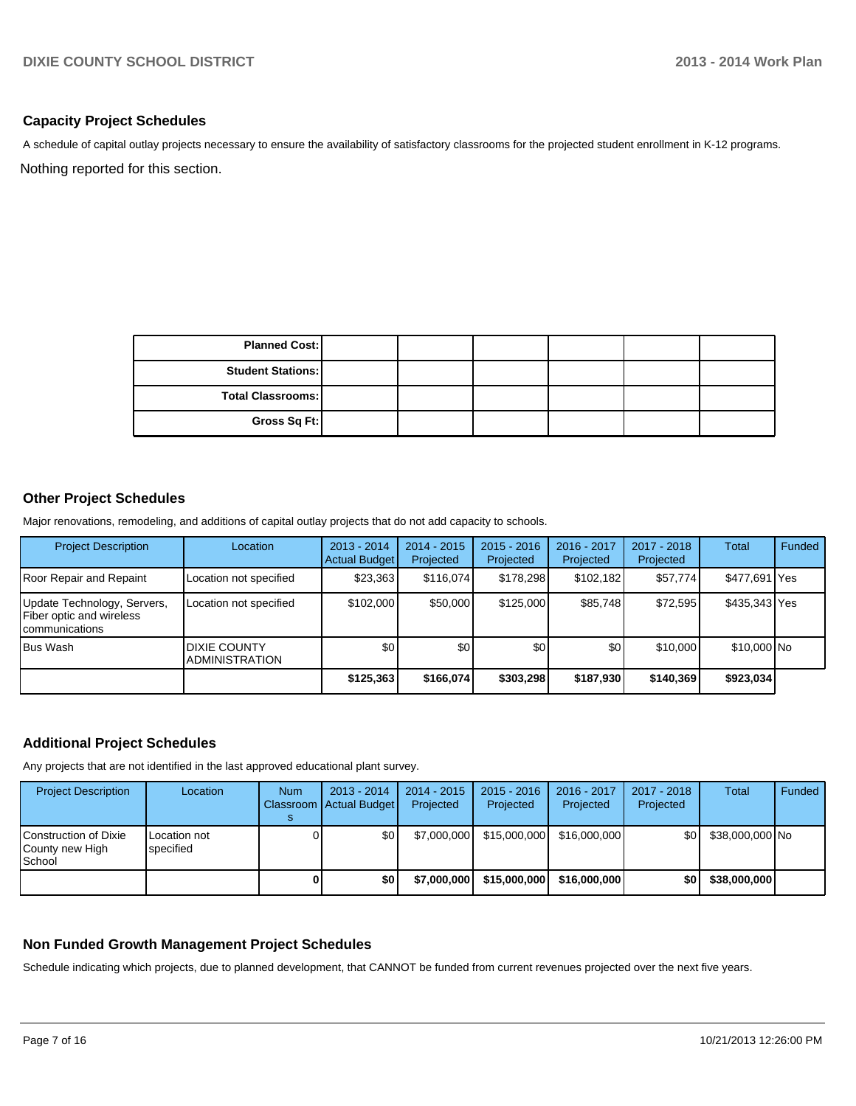### **Capacity Project Schedules**

A schedule of capital outlay projects necessary to ensure the availability of satisfactory classrooms for the projected student enrollment in K-12 programs.

Nothing reported for this section.

| <b>Planned Cost:</b>     |  |  |  |
|--------------------------|--|--|--|
| <b>Student Stations:</b> |  |  |  |
| Total Classrooms:        |  |  |  |
| Gross Sq Ft:             |  |  |  |

### **Other Project Schedules**

Major renovations, remodeling, and additions of capital outlay projects that do not add capacity to schools.

| <b>Project Description</b>                                                 | Location                                      | $2013 - 2014$<br>Actual Budget | $2014 - 2015$<br>Projected | $2015 - 2016$<br>Projected | 2016 - 2017<br>Projected | 2017 - 2018<br>Projected | Total         | Funded |
|----------------------------------------------------------------------------|-----------------------------------------------|--------------------------------|----------------------------|----------------------------|--------------------------|--------------------------|---------------|--------|
| Roor Repair and Repaint                                                    | Location not specified                        | \$23,363                       | \$116,074                  | \$178,298                  | \$102,182                | \$57,774                 | \$477,691 Yes |        |
| Update Technology, Servers,<br>Fiber optic and wireless<br>Icommunications | Location not specified                        | \$102,000                      | \$50,000                   | \$125,000                  | \$85,748                 | \$72,595                 | \$435,343 Yes |        |
| <b>Bus Wash</b>                                                            | <b>DIXIE COUNTY</b><br><b>IADMINISTRATION</b> | \$0 <sub>1</sub>               | \$0                        | \$0                        | \$0                      | \$10,000                 | \$10,000 No   |        |
|                                                                            |                                               | \$125,363                      | \$166,074                  | \$303,298                  | \$187,930                | \$140.369                | \$923,034     |        |

### **Additional Project Schedules**

Any projects that are not identified in the last approved educational plant survey.

| <b>Project Description</b>                           | Location                  | <b>Num</b> | $2013 - 2014$<br>Classroom   Actual Budget | $2014 - 2015$<br>Projected | $2015 - 2016$<br>Projected | 2016 - 2017<br>Projected | 2017 - 2018<br>Projected | Total           | Funded |
|------------------------------------------------------|---------------------------|------------|--------------------------------------------|----------------------------|----------------------------|--------------------------|--------------------------|-----------------|--------|
| l Construction of Dixie<br>County new High<br>School | Location not<br>specified |            | \$0                                        | \$7,000,000                | \$15,000,000               | \$16,000,000             | \$0 I                    | \$38,000,000 No |        |
|                                                      |                           |            | \$0                                        | \$7,000,000                | \$15,000,000               | \$16,000,000             | \$0 I                    | \$38,000,000    |        |

### **Non Funded Growth Management Project Schedules**

Schedule indicating which projects, due to planned development, that CANNOT be funded from current revenues projected over the next five years.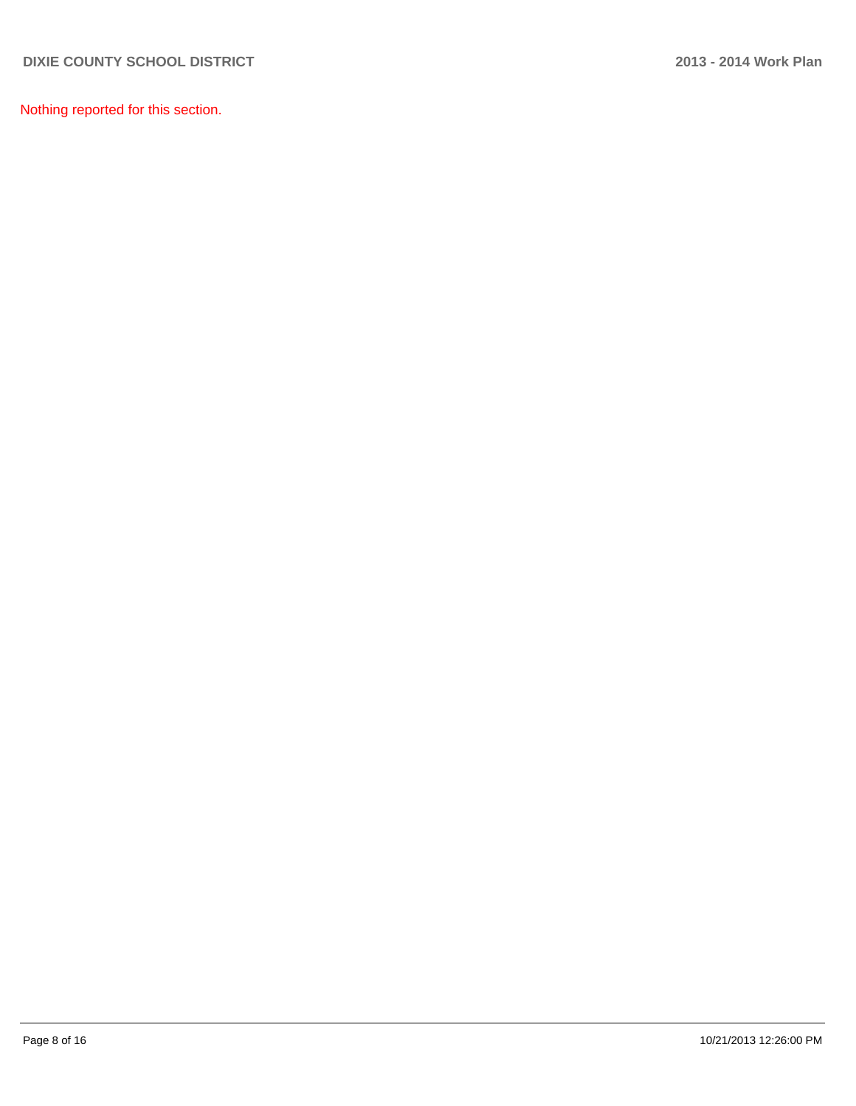Nothing reported for this section.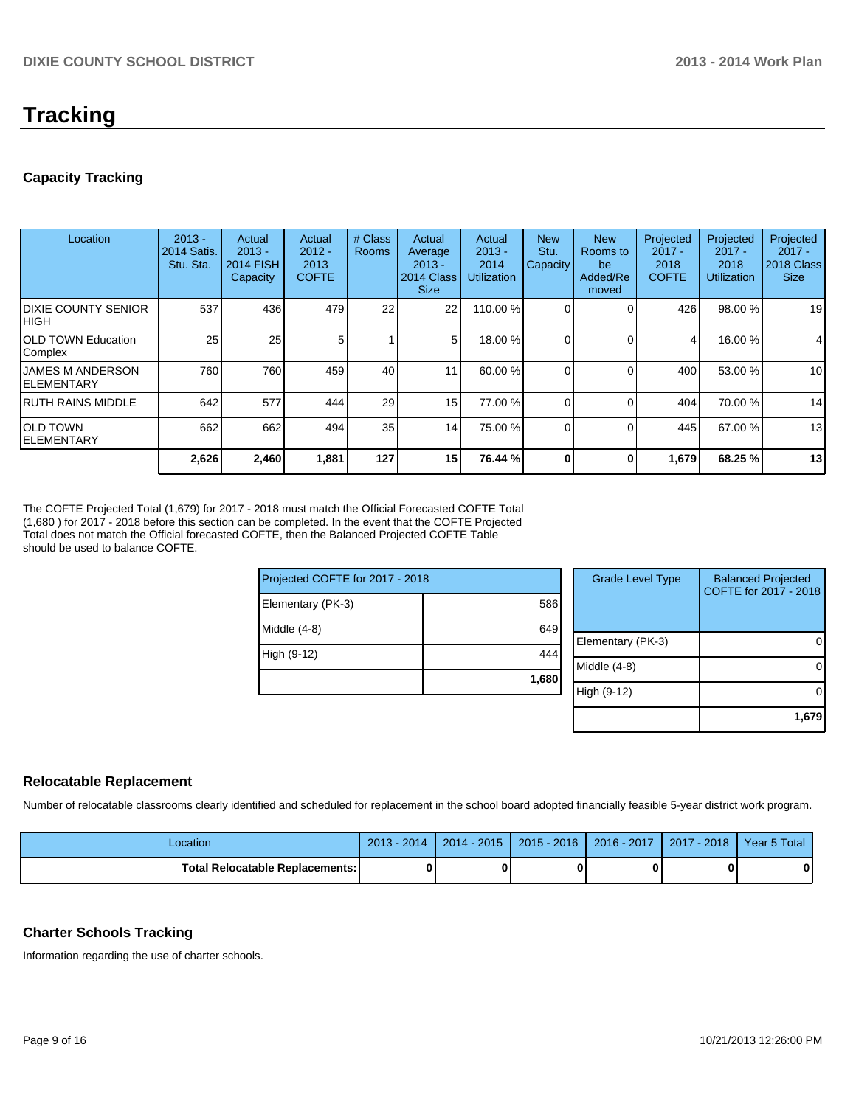# **Tracking**

### **Capacity Tracking**

| Location                                | $2013 -$<br><b>2014 Satis.</b><br>Stu. Sta. | Actual<br>$2013 -$<br><b>2014 FISH</b><br>Capacity | Actual<br>$2012 -$<br>2013<br><b>COFTE</b> | # Class<br><b>Rooms</b> | Actual<br>Average<br>$2013 -$<br>2014 Class<br><b>Size</b> | Actual<br>$2013 -$<br>2014<br><b>Utilization</b> | <b>New</b><br>Stu.<br>Capacity | <b>New</b><br>Rooms to<br>be<br>Added/Re<br>moved | Projected<br>$2017 -$<br>2018<br><b>COFTE</b> | Projected<br>$2017 -$<br>2018<br><b>Utilization</b> | Projected<br>$2017 -$<br>2018 Class<br><b>Size</b> |
|-----------------------------------------|---------------------------------------------|----------------------------------------------------|--------------------------------------------|-------------------------|------------------------------------------------------------|--------------------------------------------------|--------------------------------|---------------------------------------------------|-----------------------------------------------|-----------------------------------------------------|----------------------------------------------------|
| <b>IDIXIE COUNTY SENIOR</b><br>Ініgн    | 537                                         | 436                                                | 479                                        | 22                      | 22                                                         | 110.00 %                                         |                                |                                                   | 426                                           | 98.00 %                                             | 19                                                 |
| <b>IOLD TOWN Education</b><br>Complex   | 25                                          | 25                                                 |                                            |                         | 5                                                          | 18.00 %                                          |                                |                                                   | 4                                             | 16.00 %                                             | 4                                                  |
| <b>IJAMES M ANDERSON</b><br>IELEMENTARY | 760                                         | 760                                                | 459                                        | 40                      | 11                                                         | 60.00 %                                          |                                |                                                   | 400                                           | 53.00 %                                             | 10                                                 |
| IRUTH RAINS MIDDLE                      | 642                                         | 577                                                | 444                                        | 29                      | 15 <sup>1</sup>                                            | 77.00 %                                          |                                | $\Omega$                                          | 404                                           | 70.00 %                                             | 14                                                 |
| IOLD TOWN<br>IELEMENTARY                | 662                                         | 662                                                | 494                                        | 35                      | 14                                                         | 75.00 %                                          |                                |                                                   | 445                                           | 67.00 %                                             | 13                                                 |
|                                         | 2,626                                       | 2,460                                              | 1,881                                      | 127                     | 15                                                         | 76.44 %                                          |                                |                                                   | 1,679                                         | 68.25 %                                             | 13                                                 |

The COFTE Projected Total (1,679) for 2017 - 2018 must match the Official Forecasted COFTE Total (1,680 ) for 2017 - 2018 before this section can be completed. In the event that the COFTE Projected Total does not match the Official forecasted COFTE, then the Balanced Projected COFTE Table should be used to balance COFTE.

| Projected COFTE for 2017 - 2018 |       | <b>Grade Level Type</b> | <b>Balanced Projected</b><br>COFTE for 2017 - 2018 |
|---------------------------------|-------|-------------------------|----------------------------------------------------|
| Elementary (PK-3)               | 586   |                         |                                                    |
| Middle (4-8)                    | 649   |                         |                                                    |
|                                 |       | Elementary (PK-3)       | 0                                                  |
| High (9-12)                     | 444   |                         |                                                    |
|                                 |       | Middle (4-8)            | 0                                                  |
|                                 | 1,680 |                         |                                                    |
|                                 |       | High (9-12)             | 0                                                  |
|                                 |       |                         | 1,679                                              |

### **Relocatable Replacement**

Number of relocatable classrooms clearly identified and scheduled for replacement in the school board adopted financially feasible 5-year district work program.

| Location                          | $2013 - 2014$ | $2014 - 2015$ | 2015 - 2016 | $2016 - 2017$ | 2017<br>$'$ - 2018 | Year 5 Total |
|-----------------------------------|---------------|---------------|-------------|---------------|--------------------|--------------|
| Total Relocatable Replacements: I |               |               |             |               |                    |              |

### **Charter Schools Tracking**

Information regarding the use of charter schools.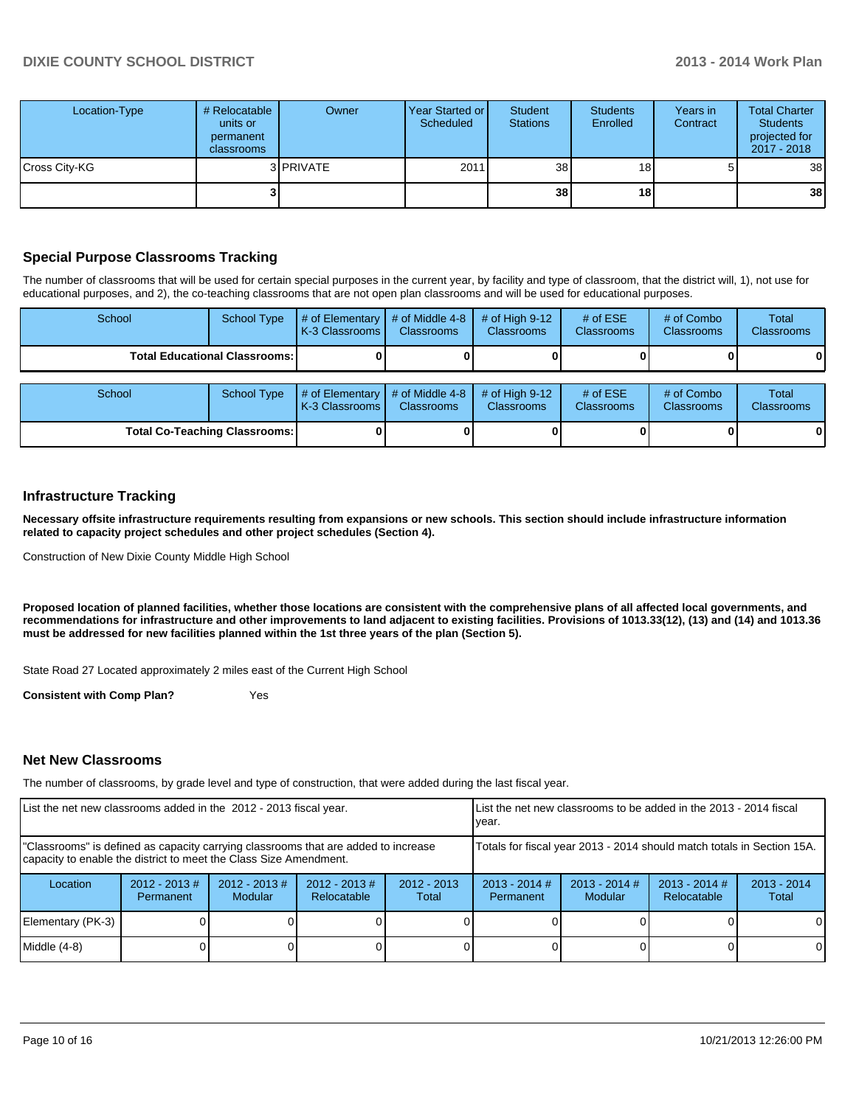| Location-Type | # Relocatable<br>units or<br>permanent<br>classrooms | Owner             | Year Started or<br>Scheduled | Student<br><b>Stations</b> | <b>Students</b><br>Enrolled | Years in<br>Contract | <b>Total Charter</b><br><b>Students</b><br>projected for<br>2017 - 2018 |
|---------------|------------------------------------------------------|-------------------|------------------------------|----------------------------|-----------------------------|----------------------|-------------------------------------------------------------------------|
| Cross City-KG |                                                      | 3 <b>IPRIVATE</b> | 2011                         | 38 <sup>1</sup>            | 18 <sub>1</sub>             | 5                    | 38                                                                      |
|               |                                                      |                   |                              | 38                         | 18                          |                      | 38                                                                      |

### **Special Purpose Classrooms Tracking**

The number of classrooms that will be used for certain special purposes in the current year, by facility and type of classroom, that the district will, 1), not use for educational purposes, and 2), the co-teaching classrooms that are not open plan classrooms and will be used for educational purposes.

| School                                 | School Type | $\#$ of Elementary<br>K-3 Classrooms I | # of Middle 4-8<br><b>Classrooms</b> | # of High $9-12$<br><b>Classrooms</b> | # of $ESE$<br><b>Classrooms</b> | # of Combo<br>Classrooms | Total<br><b>Classrooms</b> |
|----------------------------------------|-------------|----------------------------------------|--------------------------------------|---------------------------------------|---------------------------------|--------------------------|----------------------------|
| <b>Total Educational Classrooms: I</b> |             |                                        |                                      |                                       |                                 |                          | 01                         |
| School<br><b>School Type</b>           |             | $\#$ of Elementary<br>K-3 Classrooms I | # of Middle 4-8<br><b>Classrooms</b> | # of High $9-12$<br><b>Classrooms</b> | # of $ESE$<br><b>Classrooms</b> | # of Combo<br>Classrooms | Total<br><b>Classrooms</b> |

**Total Co-Teaching Classrooms: 0 0 0 0 0 0**

### **Infrastructure Tracking**

**Necessary offsite infrastructure requirements resulting from expansions or new schools. This section should include infrastructure information related to capacity project schedules and other project schedules (Section 4).**

Construction of New Dixie County Middle High School

**Proposed location of planned facilities, whether those locations are consistent with the comprehensive plans of all affected local governments, and recommendations for infrastructure and other improvements to land adjacent to existing facilities. Provisions of 1013.33(12), (13) and (14) and 1013.36 must be addressed for new facilities planned within the 1st three years of the plan (Section 5).**

State Road 27 Located approximately 2 miles east of the Current High School

**Consistent with Comp Plan?** Yes

#### **Net New Classrooms**

The number of classrooms, by grade level and type of construction, that were added during the last fiscal year.

| List the net new classrooms added in the 2012 - 2013 fiscal year.                                                                                       |                              |                             | List the net new classrooms to be added in the 2013 - 2014 fiscal<br>Ivear. |                                                                        |                              |                        |  |          |
|---------------------------------------------------------------------------------------------------------------------------------------------------------|------------------------------|-----------------------------|-----------------------------------------------------------------------------|------------------------------------------------------------------------|------------------------------|------------------------|--|----------|
| "Classrooms" is defined as capacity carrying classrooms that are added to increase<br>capacity to enable the district to meet the Class Size Amendment. |                              |                             |                                                                             | Totals for fiscal year 2013 - 2014 should match totals in Section 15A. |                              |                        |  |          |
| Location                                                                                                                                                | $2012 - 2013$ #<br>Permanent | $2012 - 2013 \#$<br>Modular | $2012 - 2013$ #<br>Relocatable                                              | $2012 - 2013$<br>Total                                                 | $2013 - 2014$ #<br>Permanent | $2013 - 2014$<br>Total |  |          |
| Elementary (PK-3)                                                                                                                                       |                              |                             |                                                                             |                                                                        | $\Omega$                     |                        |  |          |
| $Middle (4-8)$                                                                                                                                          |                              |                             |                                                                             |                                                                        |                              |                        |  | $\Omega$ |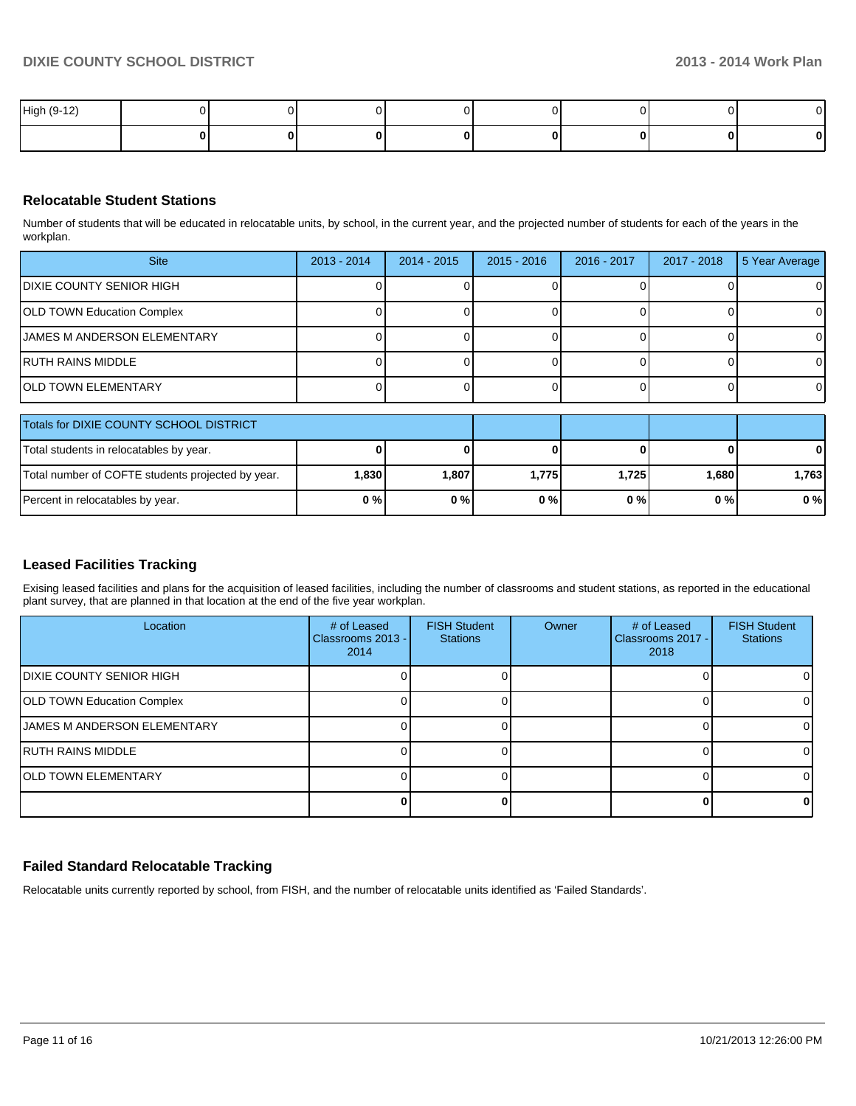| High (9-12) |  |  |  |  |
|-------------|--|--|--|--|
|             |  |  |  |  |

### **Relocatable Student Stations**

Number of students that will be educated in relocatable units, by school, in the current year, and the projected number of students for each of the years in the workplan.

| <b>Site</b>                        | $2013 - 2014$ | $2014 - 2015$ | $2015 - 2016$ | 2016 - 2017 | 2017 - 2018 | 5 Year Average |
|------------------------------------|---------------|---------------|---------------|-------------|-------------|----------------|
| DIXIE COUNTY SENIOR HIGH           |               |               |               |             |             | 0              |
| OLD TOWN Education Complex         |               |               |               |             |             | $\Omega$       |
| <b>JAMES M ANDERSON ELEMENTARY</b> |               |               |               |             |             | $\Omega$       |
| RUTH RAINS MIDDLE                  |               |               |               |             |             | $\overline{0}$ |
| IOLD TOWN ELEMENTARY               |               |               |               |             |             | $\Omega$       |

| Totals for DIXIE COUNTY SCHOOL DISTRICT           |         |          |       |       |         |              |
|---------------------------------------------------|---------|----------|-------|-------|---------|--------------|
| Total students in relocatables by year.           |         |          |       |       | 0       | $\mathbf{0}$ |
| Total number of COFTE students projected by year. | 1.830 l | ا 807. ا | 1.775 | 1.725 | 1.680 l | 1,763        |
| Percent in relocatables by year.                  | 0%      | $0\%$    | 0%    | 0%    | 0 % I   | 0%           |

### **Leased Facilities Tracking**

Exising leased facilities and plans for the acquisition of leased facilities, including the number of classrooms and student stations, as reported in the educational plant survey, that are planned in that location at the end of the five year workplan.

| Location                          | # of Leased<br>Classrooms 2013 -<br>2014 | <b>FISH Student</b><br><b>Stations</b> | Owner | # of Leased<br>Classrooms 2017 -<br>2018 | <b>FISH Student</b><br><b>Stations</b> |
|-----------------------------------|------------------------------------------|----------------------------------------|-------|------------------------------------------|----------------------------------------|
| IDIXIE COUNTY SENIOR HIGH         |                                          |                                        |       |                                          | 01                                     |
| <b>OLD TOWN Education Complex</b> |                                          |                                        |       |                                          | 01                                     |
| IJAMES M ANDERSON ELEMENTARY      |                                          |                                        |       |                                          | ΩI                                     |
| IRUTH RAINS MIDDLE                |                                          |                                        |       |                                          | $\Omega$                               |
| <b>IOLD TOWN ELEMENTARY</b>       |                                          |                                        |       |                                          | ΩI                                     |
|                                   |                                          |                                        |       |                                          | 01                                     |

### **Failed Standard Relocatable Tracking**

Relocatable units currently reported by school, from FISH, and the number of relocatable units identified as 'Failed Standards'.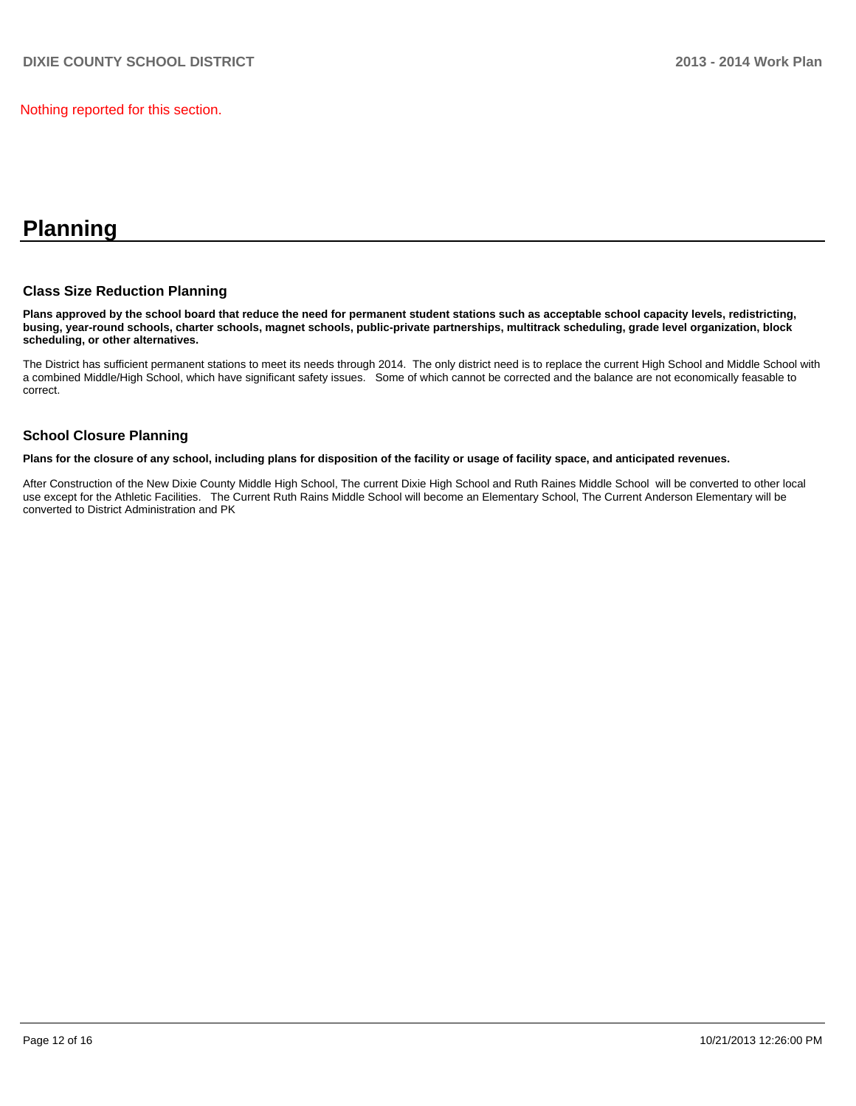Nothing reported for this section.

# **Planning**

### **Class Size Reduction Planning**

**Plans approved by the school board that reduce the need for permanent student stations such as acceptable school capacity levels, redistricting, busing, year-round schools, charter schools, magnet schools, public-private partnerships, multitrack scheduling, grade level organization, block scheduling, or other alternatives.**

The District has sufficient permanent stations to meet its needs through 2014. The only district need is to replace the current High School and Middle School with a combined Middle/High School, which have significant safety issues. Some of which cannot be corrected and the balance are not economically feasable to correct.

### **School Closure Planning**

**Plans for the closure of any school, including plans for disposition of the facility or usage of facility space, and anticipated revenues.**

After Construction of the New Dixie County Middle High School, The current Dixie High School and Ruth Raines Middle School will be converted to other local use except for the Athletic Facilities. The Current Ruth Rains Middle School will become an Elementary School, The Current Anderson Elementary will be converted to District Administration and PK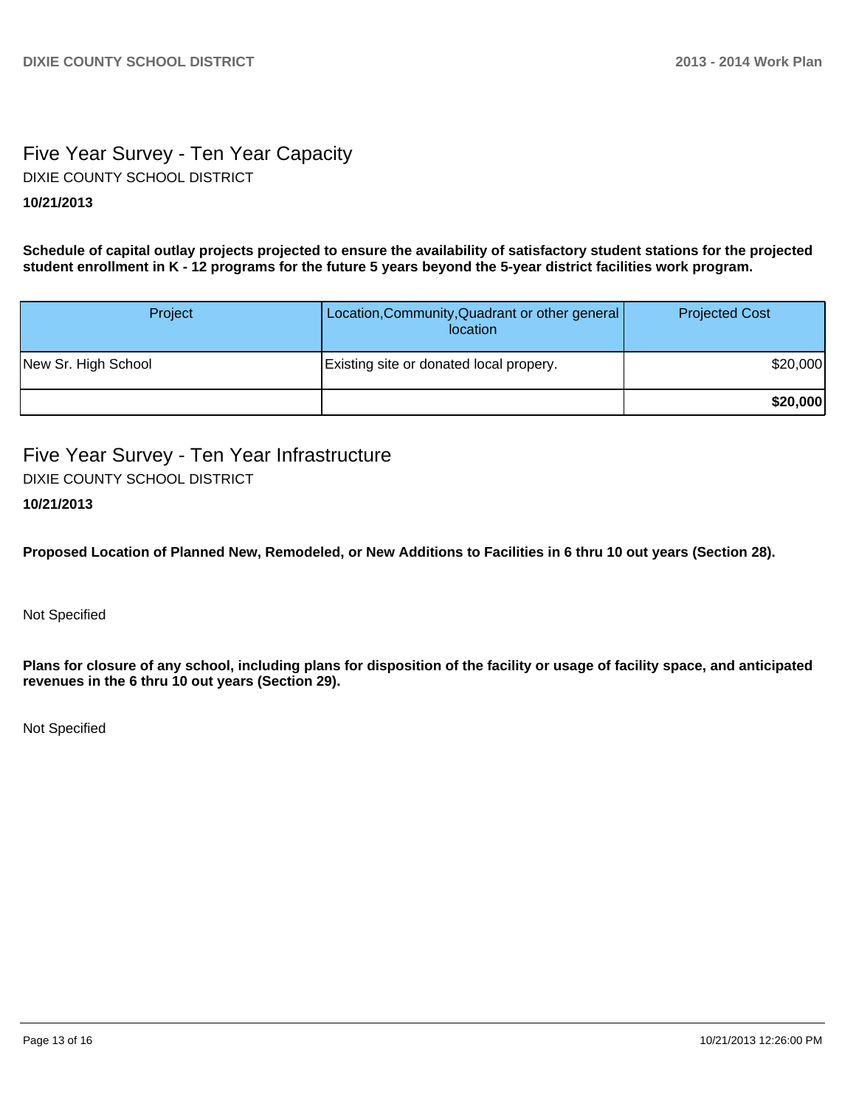### Five Year Survey - Ten Year Capacity **10/21/2013** DIXIE COUNTY SCHOOL DISTRICT

**Schedule of capital outlay projects projected to ensure the availability of satisfactory student stations for the projected student enrollment in K - 12 programs for the future 5 years beyond the 5-year district facilities work program.**

| Project             | Location, Community, Quadrant or other general<br>location | <b>Projected Cost</b> |
|---------------------|------------------------------------------------------------|-----------------------|
| New Sr. High School | Existing site or donated local propery.                    | \$20,000              |
|                     |                                                            | \$20,000              |

Five Year Survey - Ten Year Infrastructure DIXIE COUNTY SCHOOL DISTRICT

### **10/21/2013**

**Proposed Location of Planned New, Remodeled, or New Additions to Facilities in 6 thru 10 out years (Section 28).**

Not Specified

**Plans for closure of any school, including plans for disposition of the facility or usage of facility space, and anticipated revenues in the 6 thru 10 out years (Section 29).**

Not Specified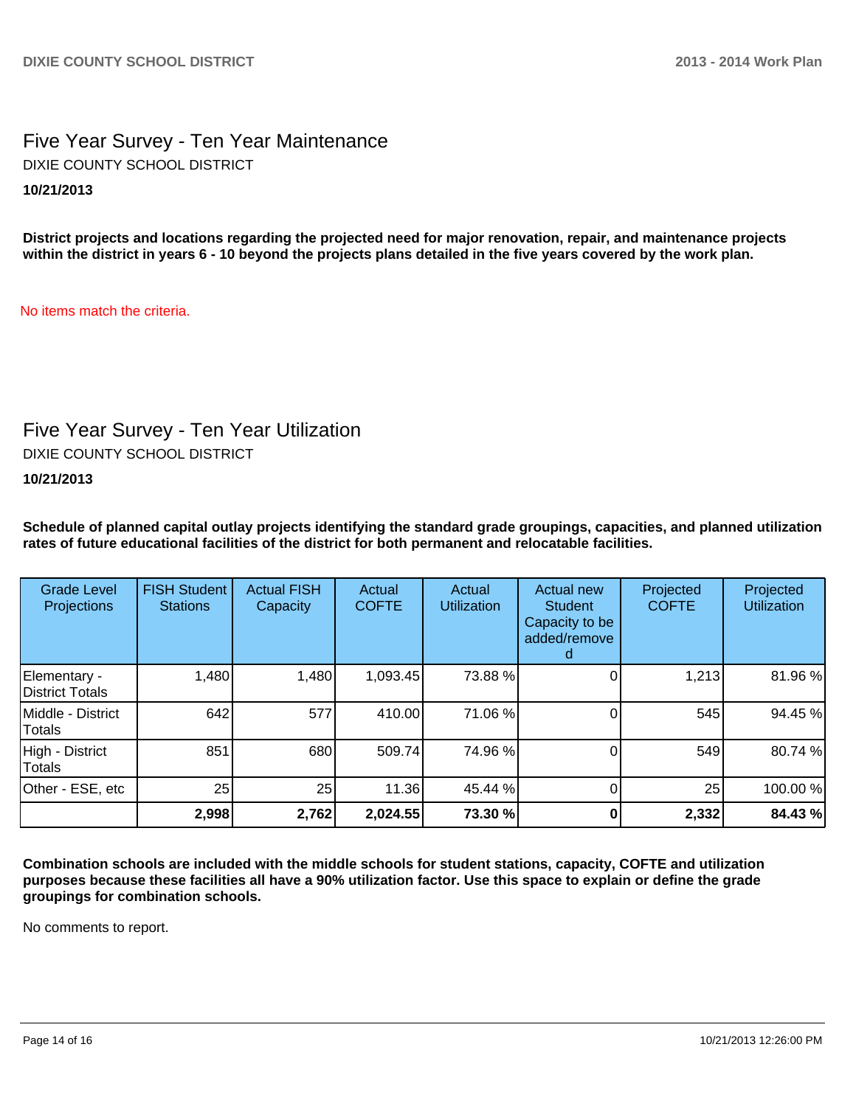### Five Year Survey - Ten Year Maintenance **10/21/2013** DIXIE COUNTY SCHOOL DISTRICT

**District projects and locations regarding the projected need for major renovation, repair, and maintenance projects within the district in years 6 - 10 beyond the projects plans detailed in the five years covered by the work plan.**

No items match the criteria.

## Five Year Survey - Ten Year Utilization

DIXIE COUNTY SCHOOL DISTRICT

**10/21/2013**

**Schedule of planned capital outlay projects identifying the standard grade groupings, capacities, and planned utilization rates of future educational facilities of the district for both permanent and relocatable facilities.**

| <b>Grade Level</b><br><b>Projections</b> | <b>FISH Student</b><br><b>Stations</b> | <b>Actual FISH</b><br>Capacity | Actual<br><b>COFTE</b> | Actual<br><b>Utilization</b> | Actual new<br><b>Student</b><br>Capacity to be<br>added/remove | Projected<br><b>COFTE</b> | Projected<br><b>Utilization</b> |
|------------------------------------------|----------------------------------------|--------------------------------|------------------------|------------------------------|----------------------------------------------------------------|---------------------------|---------------------------------|
| Elementary -<br>District Totals          | 1,480                                  | 1,480                          | 1,093.45               | 73.88 %                      |                                                                | 1,213                     | 81.96%                          |
| Middle - District<br>Totals              | 642                                    | 577                            | 410.00                 | 71.06 %                      |                                                                | 545                       | 94.45 %                         |
| High - District<br>Totals                | 851                                    | 680                            | 509.74                 | 74.96 %                      |                                                                | 549                       | 80.74%                          |
| Other - ESE, etc                         | 25                                     | 25                             | 11.36                  | 45.44 %                      |                                                                | 25                        | 100.00%                         |
|                                          | 2,998                                  | 2,762                          | 2,024.55               | 73.30 %                      |                                                                | 2,332                     | 84.43%                          |

**Combination schools are included with the middle schools for student stations, capacity, COFTE and utilization purposes because these facilities all have a 90% utilization factor. Use this space to explain or define the grade groupings for combination schools.**

No comments to report.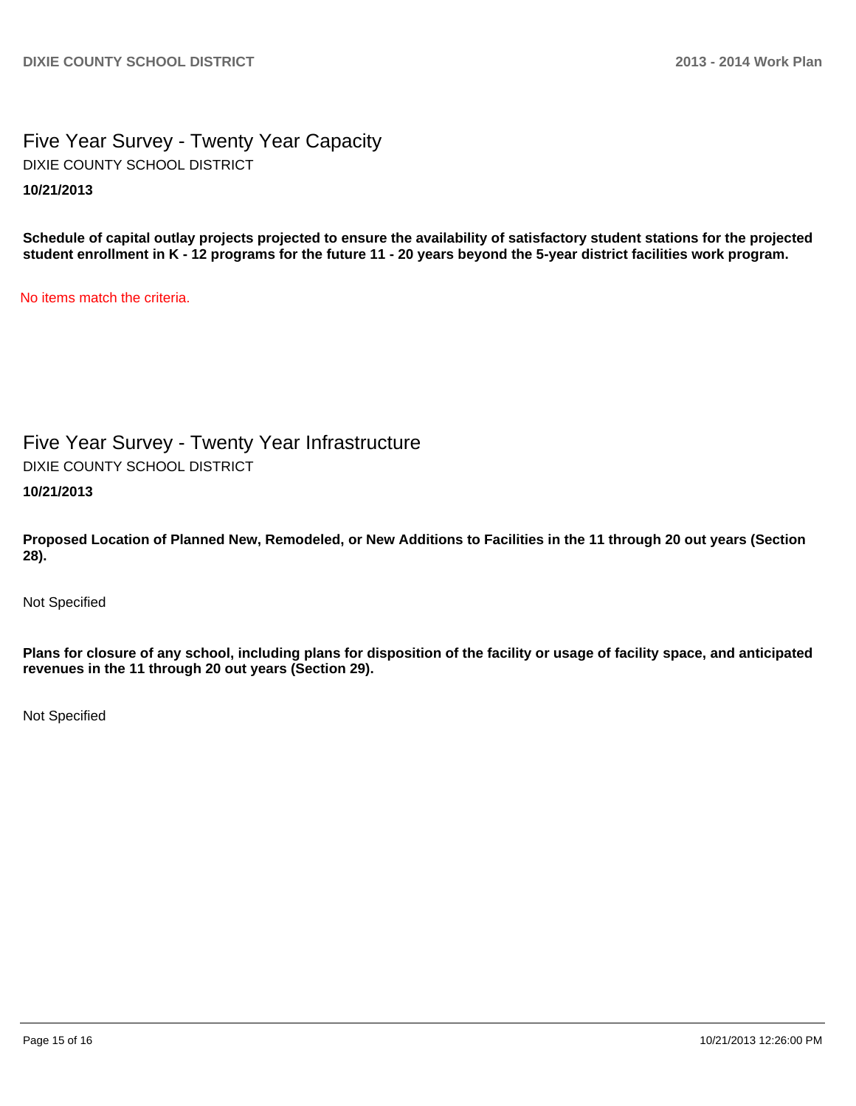Five Year Survey - Twenty Year Capacity **10/21/2013** DIXIE COUNTY SCHOOL DISTRICT

**Schedule of capital outlay projects projected to ensure the availability of satisfactory student stations for the projected student enrollment in K - 12 programs for the future 11 - 20 years beyond the 5-year district facilities work program.**

No items match the criteria.

Five Year Survey - Twenty Year Infrastructure DIXIE COUNTY SCHOOL DISTRICT

**10/21/2013**

**Proposed Location of Planned New, Remodeled, or New Additions to Facilities in the 11 through 20 out years (Section 28).**

Not Specified

**Plans for closure of any school, including plans for disposition of the facility or usage of facility space, and anticipated revenues in the 11 through 20 out years (Section 29).**

Not Specified